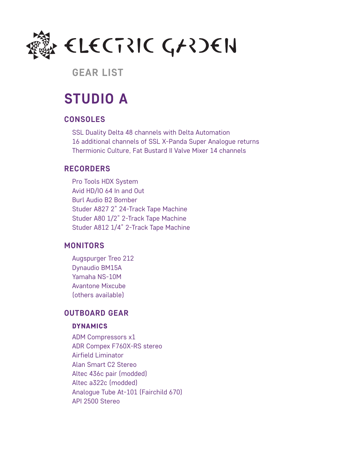

# **GEAR LIST**

# **STUDIO A**

### **CONSOLES**

SSL Duality Delta 48 channels with Delta Automation 16 additional channels of SSL X-Panda Super Analogue returns Thermionic Culture, Fat Bustard II Valve Mixer 14 channels

## **RECORDERS**

Pro Tools HDX System Avid HD/IO 64 In and Out Burl Audio B2 Bomber Studer A827 2" 24-Track Tape Machine Studer A80 1/2" 2-Track Tape Machine Studer A812 1/4" 2-Track Tape Machine

## **MONITORS**

Augspurger Treo 212 Dynaudio BM15A Yamaha NS-10M Avantone Mixcube (others available)

# **OUTBOARD GEAR**

### DYNAMICS

ADM Compressors x1 ADR Compex F760X-RS stereo Airfield Liminator Alan Smart C2 Stereo Altec 436c pair (modded) Altec a322c (modded) Analogue Tube At-101 (Fairchild 670) API 2500 Stereo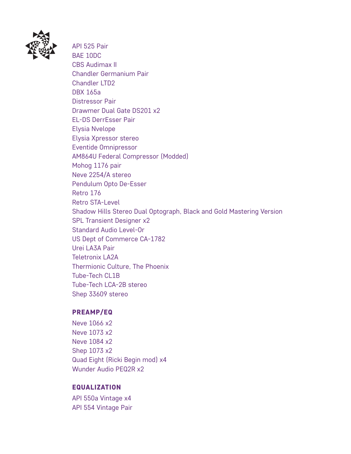

API 525 Pair BAE 10DC CBS Audimax II Chandler Germanium Pair Chandler LTD2 DBX 165a Distressor Pair Drawmer Dual Gate DS201 x2 EL-DS DerrEsser Pair Elysia Nvelope Elysia Xpressor stereo Eventide Omnipressor AM864U Federal Compressor (Modded) Mohog 1176 pair Neve 2254/A stereo Pendulum Opto De-Esser Retro 176 Retro STA-Level Shadow Hills Stereo Dual Optograph, Black and Gold Mastering Version SPL Transient Designer x2 Standard Audio Level-Or US Dept of Commerce CA-1782 Urei LA3A Pair Teletronix LA2A Thermionic Culture, The Phoenix Tube-Tech CL1B Tube-Tech LCA-2B stereo Shep 33609 stereo

### PREAMP/EQ

Neve 1066 x2 Neve 1073 x2 Neve 1084 x2 Shep 1073 x2 Quad Eight (Ricki Begin mod) x4 Wunder Audio PEQ2R x2

### EQUALIZATION

API 550a Vintage x4 API 554 Vintage Pair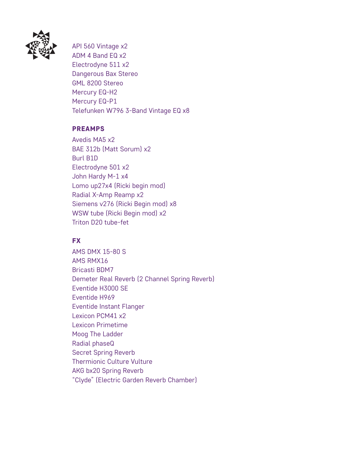

API 560 Vintage x2 ADM 4 Band EQ x2 Electrodyne 511 x2 Dangerous Bax Stereo GML 8200 Stereo Mercury EQ-H2 Mercury EQ-P1 Telefunken W796 3-Band Vintage EQ x8

### PREAMPS

Avedis MA5 x2 BAE 312b (Matt Sorum) x2 Burl B1D Electrodyne 501 x2 John Hardy M-1 x4 Lomo up27x4 (Ricki begin mod) Radial X-Amp Reamp x2 Siemens v276 (Ricki Begin mod) x8 WSW tube (Ricki Begin mod) x2 Triton D20 tube-fet

## **FX**

AMS DMX 15-80 S AMS RMX16 Bricasti BDM7 Demeter Real Reverb (2 Channel Spring Reverb) Eventide H3000 SE Eventide H969 Eventide Instant Flanger Lexicon PCM41 x2 Lexicon Primetime Moog The Ladder Radial phaseQ Secret Spring Reverb Thermionic Culture Vulture AKG bx20 Spring Reverb "Clyde" (Electric Garden Reverb Chamber)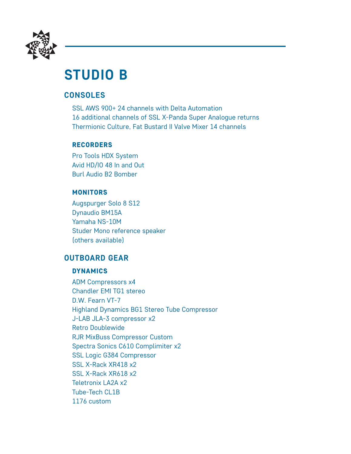

# **STUDIO B**

# **CONSOLES**

SSL AWS 900+ 24 channels with Delta Automation 16 additional channels of SSL X-Panda Super Analogue returns Thermionic Culture, Fat Bustard II Valve Mixer 14 channels

### RECORDERS

Pro Tools HDX System Avid HD/IO 48 In and Out Burl Audio B2 Bomber

## **MONITORS**

Augspurger Solo 8 S12 Dynaudio BM15A Yamaha NS-10M Studer Mono reference speaker (others available)

# **OUTBOARD GEAR**

### DYNAMICS

ADM Compressors x4 Chandler EMI TG1 stereo D.W. Fearn VT-7 Highland Dynamics BG1 Stereo Tube Compressor J-LAB JLA-3 compressor x2 Retro Doublewide RJR MixBuss Compressor Custom Spectra Sonics C610 Complimiter x2 SSL Logic G384 Compressor SSL X-Rack XR418 x2 SSL X-Rack XR618 x2 Teletronix LA2A x2 Tube-Tech CL1B 1176 custom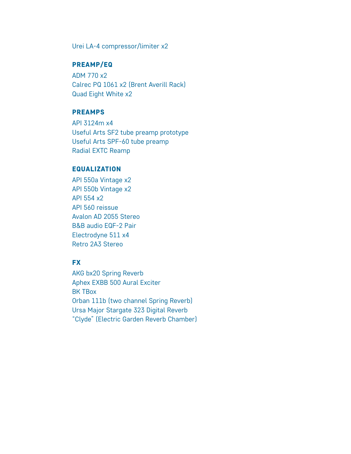Urei LA-4 compressor/limiter x2

### PREAMP/EQ

ADM 770 x2 Calrec PQ 1061 x2 (Brent Averill Rack) Quad Eight White x2

#### PREAMPS

API 3124m x4 Useful Arts SF2 tube preamp prototype Useful Arts SPF-60 tube preamp Radial EXTC Reamp

#### EQUALIZATION

API 550a Vintage x2 API 550b Vintage x2 API 554 x2 API 560 reissue Avalon AD 2055 Stereo B&B audio EQF-2 Pair Electrodyne 511 x4 Retro 2A3 Stereo

### **FX**

AKG bx20 Spring Reverb Aphex EXBB 500 Aural Exciter BK TBox Orban 111b (two channel Spring Reverb) Ursa Major Stargate 323 Digital Reverb "Clyde" (Electric Garden Reverb Chamber)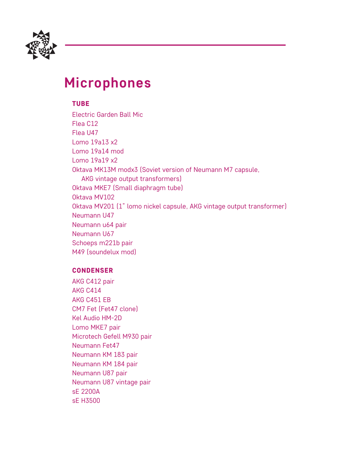

# **Microphones**

TUBE

Electric Garden Ball Mic Flea C12 Flea U47 Lomo 19a13 x2 Lomo 19a14 mod Lomo 19a19 x2 Oktava MK13M modx3 (Soviet version of Neumann M7 capsule, AKG vintage output transformers) Oktava MKE7 (Small diaphragm tube) Oktava MV102 Oktava MV201 (1" lomo nickel capsule, AKG vintage output transformer) Neumann U47 Neumann u64 pair Neumann U67 Schoeps m221b pair M49 (soundelux mod)

### CONDENSER

AKG C412 pair AKG C414 AKG C451 EB CM7 Fet (Fet47 clone) Kel Audio HM-2D Lomo MKE7 pair Microtech Gefell M930 pair Neumann Fet47 Neumann KM 183 pair Neumann KM 184 pair Neumann U87 pair Neumann U87 vintage pair sE 2200A sE H3500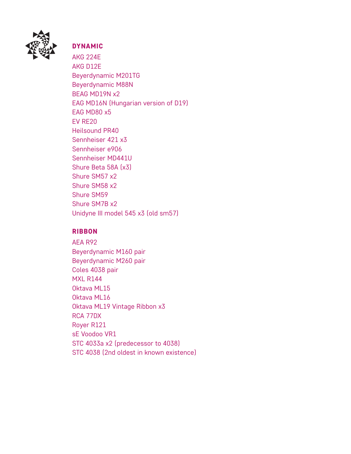

## DYNAMIC

AKG 224E AKG D12E Beyerdynamic M201TG Beyerdynamic M88N BEAG MD19N x2 EAG MD16N (Hungarian version of D19) EAG MD80 x5 EV RE20 Heilsound PR40 Sennheiser 421 x3 Sennheiser e906 Sennheiser MD441U Shure Beta 58A (x3) Shure SM57 x2 Shure SM58 x2 Shure SM59 Shure SM7B x2 Unidyne III model 545 x3 (old sm57)

### RIBBON

AEA R92 Beyerdynamic M160 pair Beyerdynamic M260 pair Coles 4038 pair MXL R144 Oktava ML15 Oktava ML16 Oktava ML19 Vintage Ribbon x3 RCA 77DX Royer R121 sE Voodoo VR1 STC 4033a x2 (predecessor to 4038) STC 4038 (2nd oldest in known existence)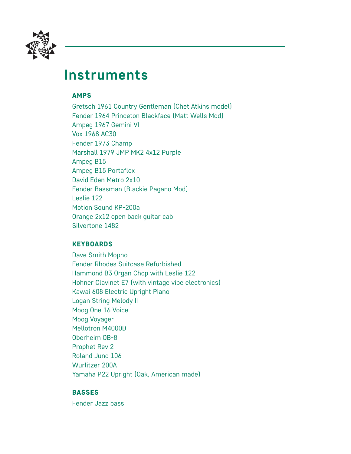

# **Instruments**

### AMPS

Gretsch 1961 Country Gentleman (Chet Atkins model) Fender 1964 Princeton Blackface (Matt Wells Mod) Ampeg 1967 Gemini VI Vox 1968 AC30 Fender 1973 Champ Marshall 1979 JMP MK2 4x12 Purple Ampeg B15 Ampeg B15 Portaflex David Eden Metro 2x10 Fender Bassman (Blackie Pagano Mod) Leslie 122 Motion Sound KP-200a Orange 2x12 open back guitar cab Silvertone 1482

### **KEYBOARDS**

Dave Smith Mopho Fender Rhodes Suitcase Refurbished Hammond B3 Organ Chop with Leslie 122 Hohner Clavinet E7 (with vintage vibe electronics) Kawai 608 Electric Upright Piano Logan String Melody II Moog One 16 Voice Moog Voyager Mellotron M4000D Oberheim OB-8 Prophet Rev 2 Roland Juno 106 Wurlitzer 200A Yamaha P22 Upright (Oak, American made)

### BASSES

Fender Jazz bass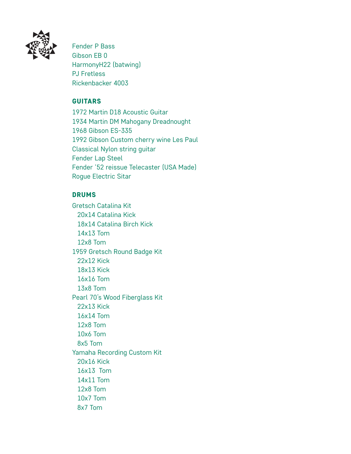

Fender P Bass Gibson EB 0 HarmonyH22 (batwing) PJ Fretless Rickenbacker 4003

### **GUITARS**

1972 Martin D18 Acoustic Guitar 1934 Martin DM Mahogany Dreadnought 1968 Gibson ES-335 1992 Gibson Custom cherry wine Les Paul Classical Nylon string guitar Fender Lap Steel Fender '52 reissue Telecaster (USA Made) Rogue Electric Sitar

## DRUMS

Gretsch Catalina Kit 20x14 Catalina Kick 18x14 Catalina Birch Kick 14x13 Tom 12x8 Tom 1959 Gretsch Round Badge Kit 22x12 Kick 18x13 Kick 16x16 Tom 13x8 Tom Pearl 70's Wood Fiberglass Kit 22x13 Kick 16x14 Tom 12x8 Tom 10x6 Tom 8x5 Tom Yamaha Recording Custom Kit 20x16 Kick 16x13 Tom 14x11 Tom 12x8 Tom 10x7 Tom 8x7 Tom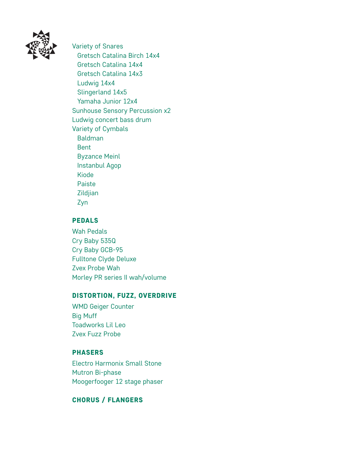

Variety of Snares Gretsch Catalina Birch 14x4 Gretsch Catalina 14x4 Gretsch Catalina 14x3 Ludwig 14x4 Slingerland 14x5 Yamaha Junior 12x4 Sunhouse Sensory Percussion x2 Ludwig concert bass drum Variety of Cymbals Baldman Bent Byzance Meinl Instanbul Agop Kiode Paiste Zildjian Zyn

### PEDALS

Wah Pedals Cry Baby 535Q Cry Baby GCB-95 Fulltone Clyde Deluxe Zvex Probe Wah Morley PR series II wah/volume

### DISTORTION, FUZZ, OVERDRIVE

WMD Geiger Counter Big Muff Toadworks Lil Leo Zvex Fuzz Probe

### **PHASERS**

Electro Harmonix Small Stone Mutron Bi-phase Moogerfooger 12 stage phaser

### CHORUS / FLANGERS